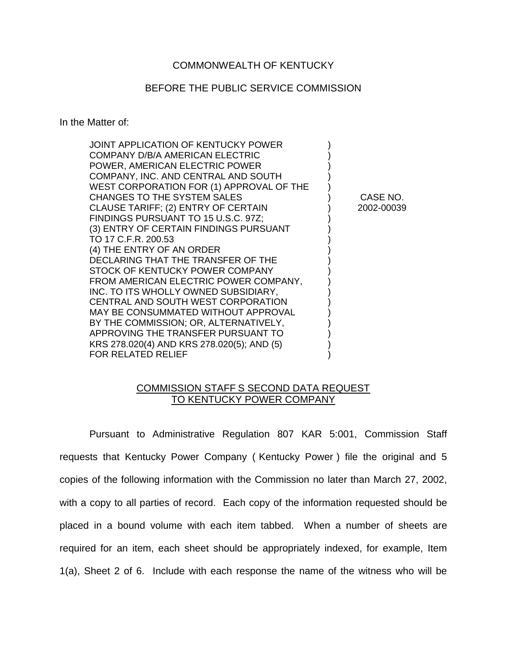## COMMONWEALTH OF KENTUCKY

## BEFORE THE PUBLIC SERVICE COMMISSION

In the Matter of:

| JOINT APPLICATION OF KENTUCKY POWER        |            |
|--------------------------------------------|------------|
| COMPANY D/B/A AMERICAN ELECTRIC            |            |
| POWER, AMERICAN ELECTRIC POWER             |            |
| COMPANY, INC. AND CENTRAL AND SOUTH        |            |
| WEST CORPORATION FOR (1) APPROVAL OF THE   |            |
| CHANGES TO THE SYSTEM SALES                | CASE NO.   |
| CLAUSE TARIFF; (2) ENTRY OF CERTAIN        | 2002-00039 |
| FINDINGS PURSUANT TO 15 U.S.C. 97Z;        |            |
| (3) ENTRY OF CERTAIN FINDINGS PURSUANT     |            |
| TO 17 C.F.R. 200.53                        |            |
| (4) THE ENTRY OF AN ORDER                  |            |
| DECLARING THAT THE TRANSFER OF THE         |            |
| STOCK OF KENTUCKY POWER COMPANY            |            |
| FROM AMERICAN ELECTRIC POWER COMPANY,      |            |
| INC. TO ITS WHOLLY OWNED SUBSIDIARY,       |            |
| CENTRAL AND SOUTH WEST CORPORATION         |            |
| MAY BE CONSUMMATED WITHOUT APPROVAL        |            |
| BY THE COMMISSION; OR, ALTERNATIVELY,      |            |
| APPROVING THE TRANSFER PURSUANT TO         |            |
| KRS 278.020(4) AND KRS 278.020(5); AND (5) |            |
| <b>FOR RELATED RELIEF</b>                  |            |

## COMMISSION STAFF S SECOND DATA REQUEST TO KENTUCKY POWER COMPANY

Pursuant to Administrative Regulation 807 KAR 5:001, Commission Staff requests that Kentucky Power Company ( Kentucky Power ) file the original and 5 copies of the following information with the Commission no later than March 27, 2002, with a copy to all parties of record. Each copy of the information requested should be placed in a bound volume with each item tabbed. When a number of sheets are required for an item, each sheet should be appropriately indexed, for example, Item 1(a), Sheet 2 of 6. Include with each response the name of the witness who will be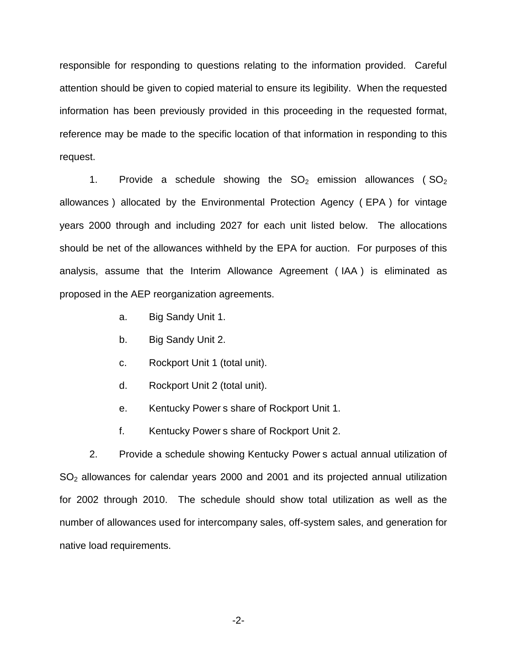responsible for responding to questions relating to the information provided. Careful attention should be given to copied material to ensure its legibility. When the requested information has been previously provided in this proceeding in the requested format, reference may be made to the specific location of that information in responding to this request.

1. Provide a schedule showing the  $SO_2$  emission allowances ( $SO_2$ ) allowances ) allocated by the Environmental Protection Agency ( EPA ) for vintage years 2000 through and including 2027 for each unit listed below. The allocations should be net of the allowances withheld by the EPA for auction. For purposes of this analysis, assume that the Interim Allowance Agreement ( IAA ) is eliminated as proposed in the AEP reorganization agreements.

- a. Big Sandy Unit 1.
- b. Big Sandy Unit 2.
- c. Rockport Unit 1 (total unit).
- d. Rockport Unit 2 (total unit).
- e. Kentucky Power s share of Rockport Unit 1.
- f. Kentucky Power s share of Rockport Unit 2.

2. Provide a schedule showing Kentucky Power s actual annual utilization of  $SO<sub>2</sub>$  allowances for calendar years 2000 and 2001 and its projected annual utilization for 2002 through 2010. The schedule should show total utilization as well as the number of allowances used for intercompany sales, off-system sales, and generation for native load requirements.

-2-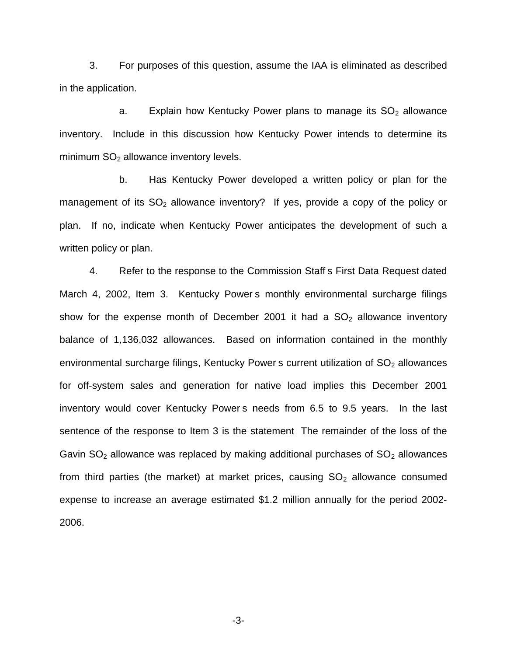3. For purposes of this question, assume the IAA is eliminated as described in the application.

a. Explain how Kentucky Power plans to manage its  $SO<sub>2</sub>$  allowance inventory. Include in this discussion how Kentucky Power intends to determine its minimum  $SO<sub>2</sub>$  allowance inventory levels.

b. Has Kentucky Power developed a written policy or plan for the management of its  $SO<sub>2</sub>$  allowance inventory? If yes, provide a copy of the policy or plan. If no, indicate when Kentucky Power anticipates the development of such a written policy or plan.

4. Refer to the response to the Commission Staff s First Data Request dated March 4, 2002, Item 3. Kentucky Power s monthly environmental surcharge filings show for the expense month of December 2001 it had a  $SO<sub>2</sub>$  allowance inventory balance of 1,136,032 allowances. Based on information contained in the monthly environmental surcharge filings, Kentucky Power s current utilization of  $SO<sub>2</sub>$  allowances for off-system sales and generation for native load implies this December 2001 inventory would cover Kentucky Power s needs from 6.5 to 9.5 years. In the last sentence of the response to Item 3 is the statement The remainder of the loss of the Gavin  $SO_2$  allowance was replaced by making additional purchases of  $SO_2$  allowances from third parties (the market) at market prices, causing  $SO<sub>2</sub>$  allowance consumed expense to increase an average estimated \$1.2 million annually for the period 2002- 2006.

-3-